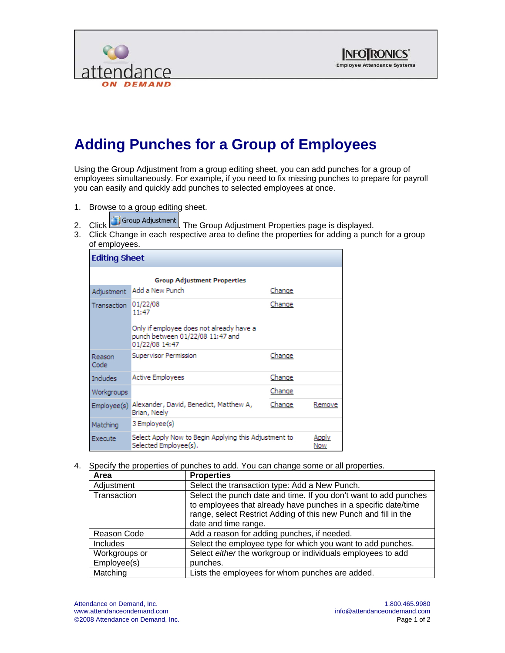



## **Adding Punches for a Group of Employees**

Using the Group Adjustment from a group editing sheet, you can add punches for a group of employees simultaneously. For example, if you need to fix missing punches to prepare for payroll you can easily and quickly add punches to selected employees at once.

- 1. Browse to a group editing sheet.
	-
- 2. Click Group Adjustment The Group Adjustment Properties page is displayed.
- 3. Click Change in each respective area to define the properties for adding a punch for a group of employees.

| <b>Editing Sheet</b>               |                                                                                                                     |        |              |
|------------------------------------|---------------------------------------------------------------------------------------------------------------------|--------|--------------|
| <b>Group Adjustment Properties</b> |                                                                                                                     |        |              |
| Adjustment                         | Add a New Punch                                                                                                     | Change |              |
| <b>Transaction</b>                 | 01/22/08<br>11:47<br>Only if employee does not already have a<br>punch between 01/22/08 11:47 and<br>01/22/08 14:47 | Change |              |
| Reason<br>Code                     | Supervisor Permission                                                                                               | Change |              |
| Includes                           | Active Employees                                                                                                    | Change |              |
| Workgroups                         |                                                                                                                     | Change |              |
| Employee(s)                        | Alexander, David, Benedict, Matthew A,<br>Brian, Neely                                                              | Change | Remove       |
| Matching                           | 3 Employee(s)                                                                                                       |        |              |
| Execute                            | Select Apply Now to Begin Applying this Adjustment to<br>Selected Employee(s).                                      |        | Apply<br>Now |

4. Specify the properties of punches to add. You can change some or all properties.

| Area            | <b>Properties</b>                                                |
|-----------------|------------------------------------------------------------------|
| Adjustment      | Select the transaction type: Add a New Punch.                    |
| Transaction     | Select the punch date and time. If you don't want to add punches |
|                 | to employees that already have punches in a specific date/time   |
|                 | range, select Restrict Adding of this new Punch and fill in the  |
|                 | date and time range.                                             |
| Reason Code     | Add a reason for adding punches, if needed.                      |
| <b>Includes</b> | Select the employee type for which you want to add punches.      |
| Workgroups or   | Select either the workgroup or individuals employees to add      |
| Employee(s)     | punches.                                                         |
| Matching        | Lists the employees for whom punches are added.                  |